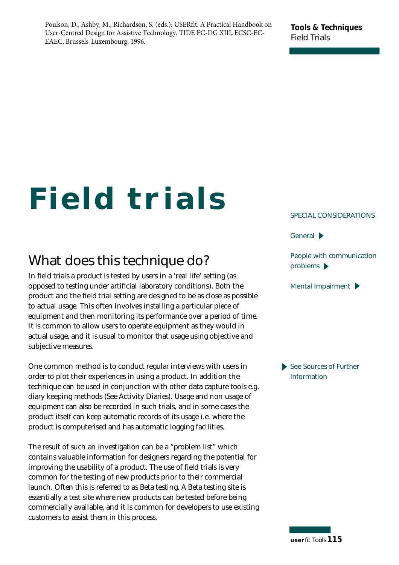Poulson, D., Ashby, M., Richardson, S. (eds.): USERfit. A Practical Handbook on User-Centred Design for Assistive Technology. TIDE EC-DG XIII, ECSC-EC-EAEC, Brussels-Luxembourg, 1996.

#### **Tools & Techniques Field Trials**

# **Field trials**

## **What does this technique do?**

In field trials a product is tested by users in a 'real life' setting (as opposed to testing under artificial laboratory conditions). Both the p roduct and the field trial setting are designed to be as close as possible to actual usage. This often involves installing a particular piece of equipment and then monitoring its performance over a period of time. It is common to allow users to operate equipment as they would in actual usage, and it is usual to monitor that usage using objective and subjective measures.

One common method is to conduct regular interviews with users in order to plot their experiences in using a product. In addition the technique can be used in conjunction with other data capture tools e.g. diary keeping methods (See Activity Diaries). Usage and non usage of equipment can also be recorded in such trials, and in some cases the product itself can keep automatic records of its usage i.e. where the product is computerised and has automatic logging facilities.

The result of such an investigation can be a "problem list" which contains valuable information for designers regarding the potential for improving the usability of a product. The use of field trials is very common for the testing of new products prior to their commercial launch. Often this is referred to as Beta testing. A Beta testing site is essentially a test site where new products can be tested before being commercially available, and it is common for developers to use existing customers to assist them in this process.

#### **SPECIAL CONSIDERATIONS**

General  $\blacktriangleright$ 

**People with communication** problems  $\blacktriangleright$ 

**Mental Impairment**

**See Sources of Further Information**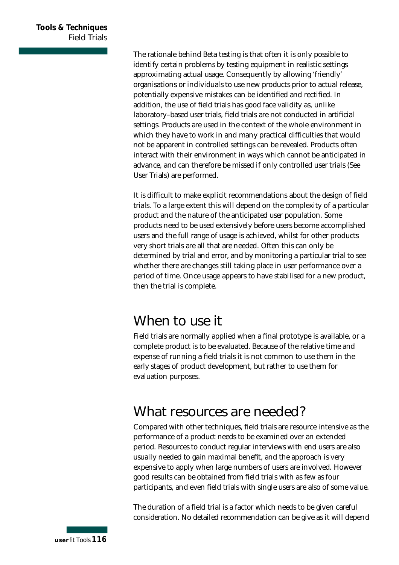The rationale behind Beta testing is that often it is only possible to identify certain problems by testing equipment in realistic settings approximating actual usage. Consequently by allowing 'friendly' organisations or individuals to use new products prior to actual release, potentially expensive mistakes can be identified and rectified. In addition, the use of field trials has good face validity as, unlike laboratory–based user trials, field trials are not conducted in artificial settings. Products are used in the context of the whole environment in which they have to work in and many practical difficulties that would not be apparent in controlled settings can be revealed. Products often interact with their environment in ways which cannot be anticipated in advance, and can therefore be missed if only controlled user trials (See User Trials) are performed.

It is difficult to make explicit recommendations about the design of field trials. To a large extent this will depend on the complexity of a particular p roduct and the nature of the anticipated user population. Some p roducts need to be used extensively before users become accomplished users and the full range of usage is achieved, whilst for other products very short trials are all that are needed. Often this can only be determined by trial and error, and by monitoring a particular trial to see whether there are changes still taking place in user performance over a period of time. Once usage appears to have stabilised for a new product, then the trial is complete.

### **When to use it**

Field trials are normally applied when a final prototype is available, or a complete product is to be evaluated. Because of the relative time and expense of running a field trials it is not common to use them in the early stages of product development, but rather to use them for evaluation purposes.

### **What resources are needed?**

Compared with other techniques, field trials are resource intensive as the performance of a product needs to be examined over an extended period. Resources to conduct regular interviews with end users are also usually needed to gain maximal benefit, and the approach is very expensive to apply when large numbers of users are involved. However good results can be obtained from field trials with as few as four participants, and even field trials with single users are also of some value.

The duration of a field trial is a factor which needs to be given careful consideration. No detailed recommendation can be give as it will depend

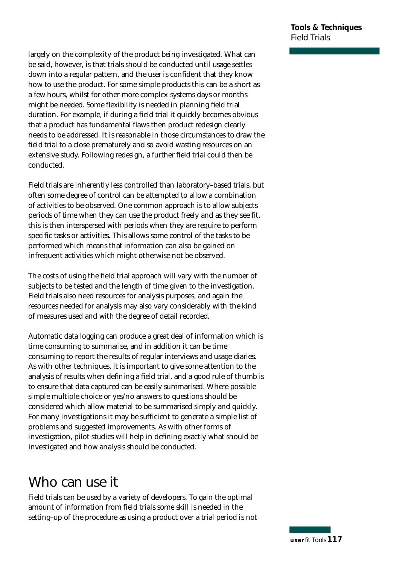largely on the complexity of the product being investigated. What can be said, however, is that trials should be conducted until usage settles down into a regular pattern, and the user is confident that they know how to use the product. For some simple products this can be a short as a few hours, whilst for other more complex systems days or months might be needed. Some flexibility is needed in planning field trial duration. For example, if during a field trial it quickly becomes obvious that a product has fundamental flaws then product redesign clearly needs to be addressed. It is reasonable in those circumstances to draw the field trial to a close prematurely and so avoid wasting resources on an extensive study. Following redesign, a further field trial could then be conducted.

Field trials are inherently less controlled than laboratory–based trials, but often some degree of control can be attempted to allow a combination of activities to be observed. One common approach is to allow subjects periods of time when they can use the product freely and as they see fit, this is then interspersed with periods when they are require to perform specific tasks or activities. This allows some control of the tasks to be performed which means that information can also be gained on infrequent activities which might otherwise not be observed.

The costs of using the field trial approach will vary with the number of subjects to be tested and the length of time given to the investigation. Field trials also need resources for analysis purposes, and again the resources needed for analysis may also vary considerably with the kind of measures used and with the degree of detail recorded.

Automatic data logging can produce a great deal of information which is time consuming to summarise, and in addition it can be time consuming to report the results of regular interviews and usage diaries. As with other techniques, it is important to give some attention to the analysis of results when defining a field trial, and a good rule of thumb is to ensure that data captured can be easily summarised. Where possible simple multiple choice or yes/no answers to questions should be considered which allow material to be summarised simply and quickly. For many investigations it may be sufficient to generate a simple list of p roblems and suggested improvements. As with other forms of investigation, pilot studies will help in defining exactly what should be investigated and how analysis should be conducted.

### **Who can use it**

Field trials can be used by a variety of developers. To gain the optimal amount of information from field trials some skill is needed in the setting-up of the procedure as using a product over a trial period is not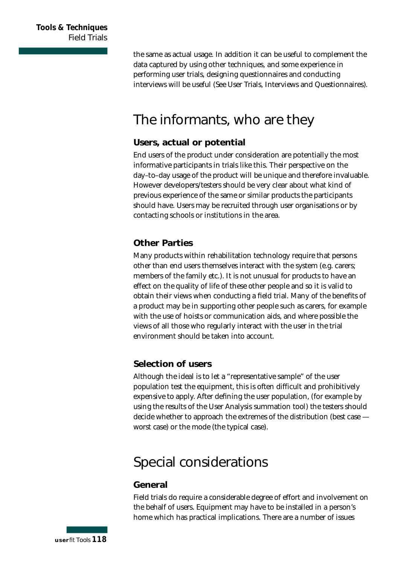the same as actual usage. In addition it can be useful to complement the data captured by using other techniques, and some experience in performing user trials, designing questionnaires and conducting interviews will be useful (See User Trials, Interviews and Questionnaires).

### **The informants, who are they**

### **Users, actual or potential**

End users of the product under consideration are potentially the most informative participants in trials like this. Their perspective on the day-to-day usage of the product will be unique and therefore invaluable. However developers/testers should be very clear about what kind of previous experience of the same or similar products the participants should have. Users may be recruited through user organisations or by contacting schools or institutions in the area.

#### **Other Parties**

Many products within rehabilitation technology require that persons other than end users themselves interact with the system (e.g. carers; members of the family etc.). It is not unusual for products to have an effect on the quality of life of these other people and so it is valid to obtain their views when conducting a field trial. Many of the benefits of a product may be in supporting other people such as carers, for example with the use of hoists or communication aids, and where possible the views of all those who regularly interact with the user in the trial environment should be taken into account.

#### **Selection of users**

Although the ideal is to let a "representative sample" of the user population test the equipment, this is often difficult and prohibitively expensive to apply. After defining the user population, (for example by using the results of the User Analysis summation tool) the testers should decide whether to approach the extremes of the distribution (best case worst case) or the mode (the typical case).

### **Special considerations**

#### **General**

Field trials do require a considerable degree of effort and involvement on the behalf of users. Equipment may have to be installed in a person's home which has practical implications. There are a number of issues

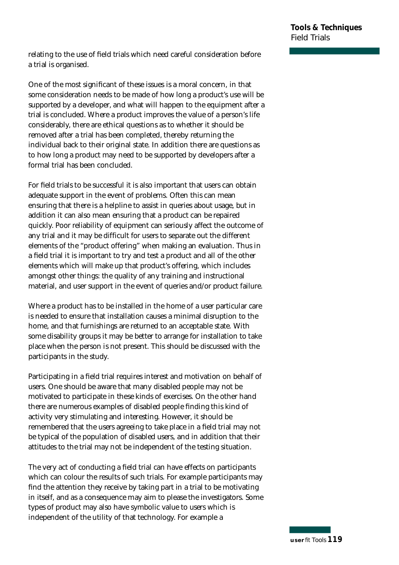relating to the use of field trials which need careful consideration before a trial is organised.

One of the most significant of these issues is a moral concern, in that some consideration needs to be made of how long a product's use will be supported by a developer, and what will happen to the equipment after a trial is concluded. Where a product improves the value of a person's life considerably, there are ethical questions as to whether it should be removed after a trial has been completed, thereby returning the individual back to their original state. In addition there are questions as to how long a product may need to be supported by developers after a formal trial has been concluded.

For field trials to be successful it is also important that users can obtain adequate support in the event of problems. Often this can mean ensuring that there is a helpline to assist in queries about usage, but in addition it can also mean ensuring that a product can be repaired quickly. Poor reliability of equipment can seriously affect the outcome of any trial and it may be difficult for users to separate out the different elements of the "product offering" when making an evaluation. Thus in a field trial it is important to try and test a product and all of the other elements which will make up that product's offering, which includes amongst other things: the quality of any training and instructional material, and user support in the event of queries and/or product failure.

Where a product has to be installed in the home of a user particular care is needed to ensure that installation causes a minimal disruption to the home, and that furnishings are returned to an acceptable state. With some disability groups it may be better to arrange for installation to take place when the person is not present. This should be discussed with the participants in the study.

Participating in a field trial requires interest and motivation on behalf of users. One should be aware that many disabled people may not be motivated to participate in these kinds of exercises. On the other hand there are numerous examples of disabled people finding this kind of activity very stimulating and interesting. However, it should be remembered that the users agreeing to take place in a field trial may not be typical of the population of disabled users, and in addition that their attitudes to the trial may not be independent of the testing situation.

The very act of conducting a field trial can have effects on participants which can colour the results of such trials. For example participants may find the attention they receive by taking part in a trial to be motivating in itself, and as a consequence may aim to please the investigators. Some types of product may also have symbolic value to users which is independent of the utility of that technology. For example a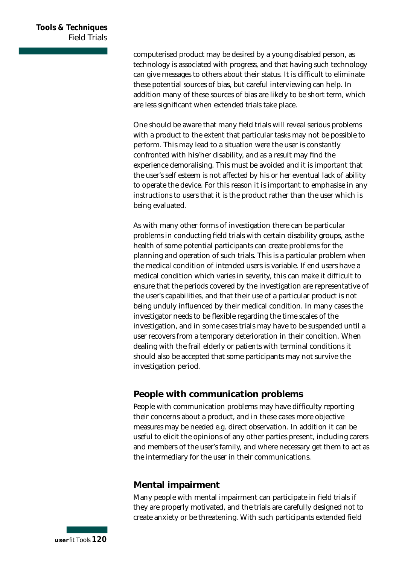#### **Tools & Techniques Field Trials**

computerised product may be desired by a young disabled person, as technology is associated with progress, and that having such technology can give messages to others about their status. It is difficult to eliminate these potential sources of bias, but careful interviewing can help. In addition many of these sources of bias are likely to be short term, which are less significant when extended trials take place.

One should be aware that many field trials will reveal serious problems with a product to the extent that particular tasks may not be possible to p erform. This may lead to a situation were the user is constantly confronted with his/her disability, and as a result may find the experience demoralising. This must be avoided and it is important that the user's self esteem is not affected by his or her eventual lack of ability to operate the device. For this reason it is important to emphasise in any instructions to users that it is the product rather than the user which is being evaluated.

As with many other forms of investigation there can be particular p roblems in conducting field trials with certain disability groups, as the health of some potential participants can create problems for the planning and operation of such trials. This is a particular problem when the medical condition of intended users is variable. If end users have a medical condition which varies in severity, this can make it difficult to ensure that the periods covered by the investigation are representative of the user's capabilities, and that their use of a particular product is not being unduly influenced by their medical condition. In many cases the investigator needs to be flexible regarding the time scales of the investigation, and in some cases trials may have to be suspended until a user recovers from a temporary deterioration in their condition. When dealing with the frail elderly or patients with terminal conditions it should also be accepted that some participants may not survive the investigation period.

#### **People with communication problems**

People with communication problems may have difficulty reporting their concerns about a product, and in these cases more objective measures may be needed e.g. direct observation. In addition it can be useful to elicit the opinions of any other parties present, including carers and members of the user's family, and where necessary get them to act as the intermediary for the user in their communications.

### **Mental impairment**

Many people with mental impairment can participate in field trials if they are properly motivated, and the trials are carefully designed not to create anxiety or be threatening. With such participants extended field

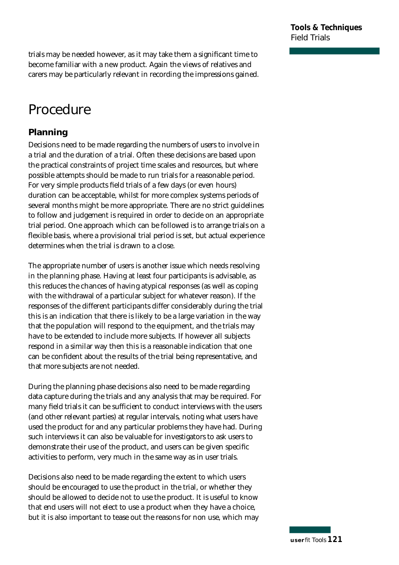trials may be needed however, as it may take them a significant time to become familiar with a new product. Again the views of relatives and carers may be particularly relevant in recording the impressions gained.

### **Procedure**

### **Planning**

Decisions need to be made regarding the numbers of users to involve in a trial and the duration of a trial. Often these decisions are based upon the practical constraints of project time scales and resources, but where possible attempts should be made to run trials for a reasonable period. For very simple products field trials of a few days (or even hours) duration can be acceptable, whilst for more complex systems periods of several months might be more appropriate. There are no strict guidelines to follow and judgement is required in order to decide on an appropriate trial period. One approach which can be followed is to arrange trials on a flexible basis, where a provisional trial period is set, but actual experience determines when the trial is drawn to a close.

The appropriate number of users is another issue which needs resolving in the planning phase. Having at least four participants is advisable, as this reduces the chances of having atypical responses (as well as coping with the withdrawal of a particular subject for whatever reason). If the responses of the different participants differ considerably during the trial this is an indication that there is likely to be a large variation in the way that the population will respond to the equipment, and the trials may have to be extended to include more subjects. If however all subjects respond in a similar way then this is a reasonable indication that one can be confident about the results of the trial being representative, and that more subjects are not needed.

During the planning phase decisions also need to be made regarding data capture during the trials and any analysis that may be required. For many field trials it can be sufficient to conduct interviews with the users (and other relevant parties) at regular intervals, noting what users have used the product for and any particular problems they have had. During such interviews it can also be valuable for investigators to ask users to demonstrate their use of the product, and users can be given specific activities to perform, very much in the same way as in user trials.

Decisions also need to be made regarding the extent to which users should be encouraged to use the product in the trial, or whether they should be allowed to decide not to use the product. It is useful to know that end users will not elect to use a product when they have a choice, but it is also important to tease out the reasons for non use, which may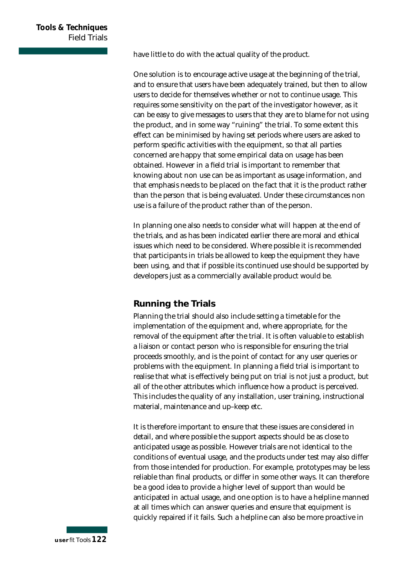have little to do with the actual quality of the product.

One solution is to encourage active usage at the beginning of the trial, and to ensure that users have been adequately trained, but then to allow users to decide for themselves whether or not to continue usage. This requires some sensitivity on the part of the investigator however, as it can be easy to give messages to users that they are to blame for not using the product, and in some way "ruining" the trial. To some extent this effect can be minimised by having set periods where users are asked to perform specific activities with the equipment, so that all parties concerned are happy that some empirical data on usage has been obtained. However in a field trial is important to remember that knowing about non use can be as important as usage information, and that emphasis needs to be placed on the fact that it is the product rather than the person that is being evaluated. Under these circumstances non use is a failure of the product rather than of the person.

In planning one also needs to consider what will happen at the end of the trials, and as has been indicated earlier there are moral and ethical issues which need to be considered. Where possible it is recommended that participants in trials be allowed to keep the equipment they have been using, and that if possible its continued use should be supported by developers just as a commercially available product would be.

#### **Running the Trials**

Planning the trial should also include setting a timetable for the implementation of the equipment and, where appropriate, for the removal of the equipment after the trial. It is often valuable to establish a liaison or contact person who is responsible for ensuring the trial p roceeds smoothly, and is the point of contact for any user queries or p roblems with the equipment. In planning a field trial is important to realise that what is effectively being put on trial is not just a product, but all of the other attributes which influence how a product is perceived. This includes the quality of any installation, user training, instructional material, maintenance and up–keep etc.

It is therefore important to ensure that these issues are considered in detail, and where possible the support aspects should be as close to anticipated usage as possible. However trials are not identical to the conditions of eventual usage, and the products under test may also differ from those intended for production. For example, prototypes may be less reliable than final products, or differ in some other ways. It can therefore be a good idea to provide a higher level of support than would be anticipated in actual usage, and one option is to have a helpline manned at all times which can answer queries and ensure that equipment is quickly repaired if it fails. Such a helpline can also be more proactive in

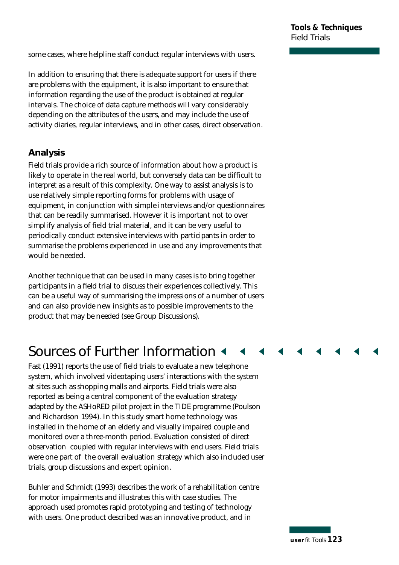some cases, where helpline staff conduct regular interviews with users.

In addition to ensuring that there is adequate support for users if there are problems with the equipment, it is also important to ensure that information regarding the use of the product is obtained at regular intervals. The choice of data capture methods will vary considerably depending on the attributes of the users, and may include the use of activity diaries, regular interviews, and in other cases, direct observation.

### **Analysis**

Field trials provide a rich source of information about how a product is likely to operate in the real world, but conversely data can be difficult to interpret as a result of this complexity. One way to assist analysis is to use relatively simple reporting forms for problems with usage of equipment, in conjunction with simple interviews and/or questionnaires that can be readily summarised. However it is important not to over simplify analysis of field trial material, and it can be very useful to periodically conduct extensive interviews with participants in order to summarise the problems experienced in use and any improvements that would be needed.

Another technique that can be used in many cases is to bring together participants in a field trial to discuss their experiences collectively. This can be a useful way of summarising the impressions of a number of users and can also provide new insights as to possible improvements to the product that may be needed (see Group Discussions).

### **Sources of Further Information <**

Fast (1991) reports the use of field trials to evaluate a new telephone system, which involved videotaping users' interactions with the system at sites such as shopping malls and airports. Field trials were also reported as being a central component of the evaluation strategy adapted by the ASHoRED pilot project in the TIDE programme (Poulson and Richardson 1994). In this study smart home technology was installed in the home of an elderly and visually impaired couple and monitored over a three-month period. Evaluation consisted of direct observation coupled with regular interviews with end users. Field trials were one part of the overall evaluation strategy which also included user trials, group discussions and expert opinion.

Buhler and Schmidt (1993) describes the work of a rehabilitation centre for motor impairments and illustrates this with case studies. The approach used promotes rapid prototyping and testing of technology with users. One product described was an innovative product, and in